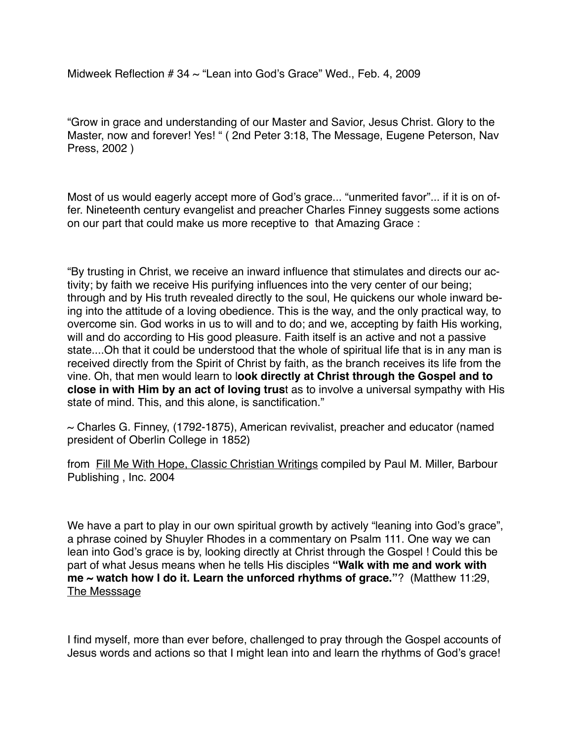Midweek Reflection  $# 34 \sim$  "Lean into God's Grace" Wed., Feb. 4, 2009

"Grow in grace and understanding of our Master and Savior, Jesus Christ. Glory to the Master, now and forever! Yes! " ( 2nd Peter 3:18, The Message, Eugene Peterson, Nav Press, 2002 )

Most of us would eagerly accept more of God's grace... "unmerited favor"... if it is on offer. Nineteenth century evangelist and preacher Charles Finney suggests some actions on our part that could make us more receptive to that Amazing Grace :

"By trusting in Christ, we receive an inward influence that stimulates and directs our activity; by faith we receive His purifying influences into the very center of our being; through and by His truth revealed directly to the soul, He quickens our whole inward being into the attitude of a loving obedience. This is the way, and the only practical way, to overcome sin. God works in us to will and to do; and we, accepting by faith His working, will and do according to His good pleasure. Faith itself is an active and not a passive state....Oh that it could be understood that the whole of spiritual life that is in any man is received directly from the Spirit of Christ by faith, as the branch receives its life from the vine. Oh, that men would learn to l**ook directly at Christ through the Gospel and to close in with Him by an act of loving trus**t as to involve a universal sympathy with His state of mind. This, and this alone, is sanctification."

 $\sim$  Charles G. Finney, (1792-1875), American revivalist, preacher and educator (named president of Oberlin College in 1852)

from Fill Me With Hope, Classic Christian Writings compiled by Paul M. Miller, Barbour Publishing , Inc. 2004

We have a part to play in our own spiritual growth by actively "leaning into God's grace", a phrase coined by Shuyler Rhodes in a commentary on Psalm 111. One way we can lean into God's grace is by, looking directly at Christ through the Gospel ! Could this be part of what Jesus means when he tells His disciples **"Walk with me and work with me ~ watch how I do it. Learn the unforced rhythms of grace."**? (Matthew 11:29, The Messsage

I find myself, more than ever before, challenged to pray through the Gospel accounts of Jesus words and actions so that I might lean into and learn the rhythms of God's grace!